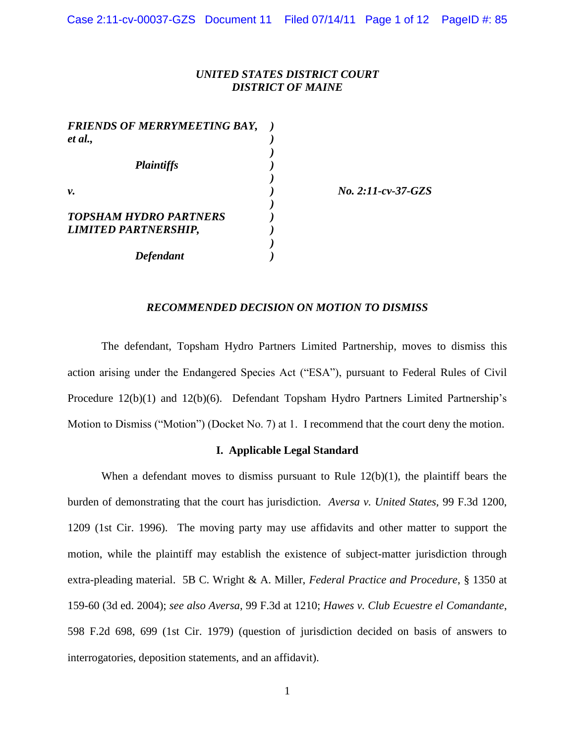# *UNITED STATES DISTRICT COURT DISTRICT OF MAINE*

*)*

*)*

*)*

*)*

*FRIENDS OF MERRYMEETING BAY, ) et al., ) Plaintiffs ) v. ) No. 2:11-cv-37-GZS TOPSHAM HYDRO PARTNERS ) LIMITED PARTNERSHIP, ) Defendant )*

### *RECOMMENDED DECISION ON MOTION TO DISMISS*

The defendant, Topsham Hydro Partners Limited Partnership, moves to dismiss this action arising under the Endangered Species Act ("ESA"), pursuant to Federal Rules of Civil Procedure 12(b)(1) and 12(b)(6). Defendant Topsham Hydro Partners Limited Partnership's Motion to Dismiss ("Motion") (Docket No. 7) at 1. I recommend that the court deny the motion.

### **I. Applicable Legal Standard**

When a defendant moves to dismiss pursuant to Rule  $12(b)(1)$ , the plaintiff bears the burden of demonstrating that the court has jurisdiction. *Aversa v. United States,* 99 F.3d 1200, 1209 (1st Cir. 1996). The moving party may use affidavits and other matter to support the motion, while the plaintiff may establish the existence of subject-matter jurisdiction through extra-pleading material. 5B C. Wright & A. Miller, *Federal Practice and Procedure*, § 1350 at 159-60 (3d ed. 2004); *see also Aversa*, 99 F.3d at 1210; *Hawes v. Club Ecuestre el Comandante*, 598 F.2d 698, 699 (1st Cir. 1979) (question of jurisdiction decided on basis of answers to interrogatories, deposition statements, and an affidavit).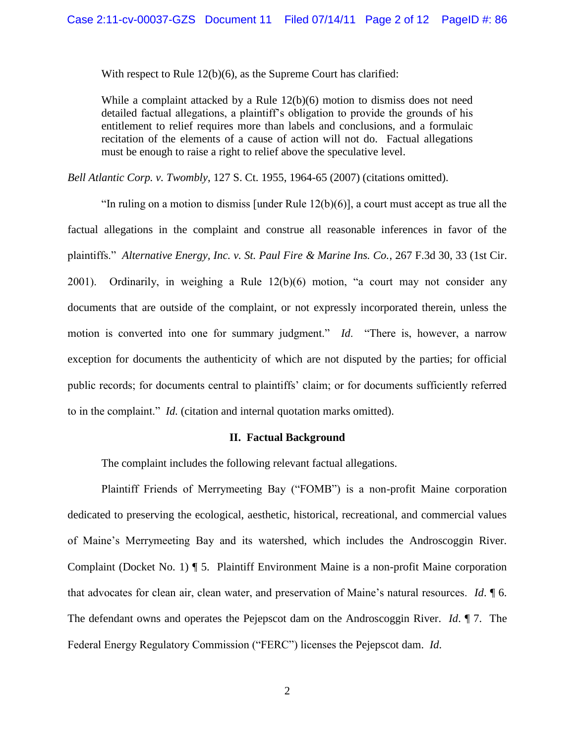With respect to Rule 12(b)(6), as the Supreme Court has clarified:

While a complaint attacked by a Rule  $12(b)(6)$  motion to dismiss does not need detailed factual allegations, a plaintiff's obligation to provide the grounds of his entitlement to relief requires more than labels and conclusions, and a formulaic recitation of the elements of a cause of action will not do. Factual allegations must be enough to raise a right to relief above the speculative level.

*Bell Atlantic Corp. v. Twombly, 127 S. Ct. 1955, 1964-65 (2007) (citations omitted).* 

"In ruling on a motion to dismiss [under Rule  $12(b)(6)$ ], a court must accept as true all the factual allegations in the complaint and construe all reasonable inferences in favor of the plaintiffs." *Alternative Energy, Inc. v. St. Paul Fire & Marine Ins. Co.*, 267 F.3d 30, 33 (1st Cir. 2001). Ordinarily, in weighing a Rule 12(b)(6) motion, "a court may not consider any documents that are outside of the complaint, or not expressly incorporated therein, unless the motion is converted into one for summary judgment." *Id*. "There is, however, a narrow exception for documents the authenticity of which are not disputed by the parties; for official public records; for documents central to plaintiffs' claim; or for documents sufficiently referred to in the complaint." *Id.* (citation and internal quotation marks omitted).

#### **II. Factual Background**

The complaint includes the following relevant factual allegations.

Plaintiff Friends of Merrymeeting Bay ("FOMB") is a non-profit Maine corporation dedicated to preserving the ecological, aesthetic, historical, recreational, and commercial values of Maine's Merrymeeting Bay and its watershed, which includes the Androscoggin River. Complaint (Docket No. 1) ¶ 5. Plaintiff Environment Maine is a non-profit Maine corporation that advocates for clean air, clean water, and preservation of Maine's natural resources. *Id*. ¶ 6. The defendant owns and operates the Pejepscot dam on the Androscoggin River. *Id*. ¶ 7. The Federal Energy Regulatory Commission ("FERC") licenses the Pejepscot dam. *Id*.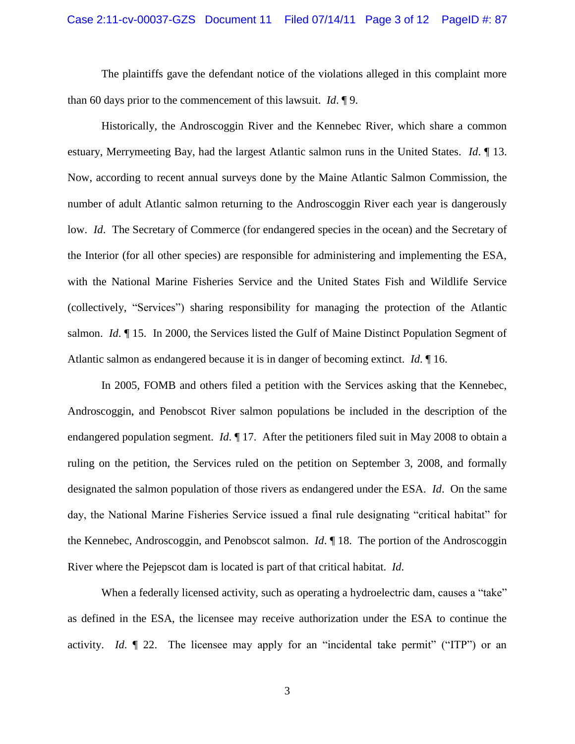The plaintiffs gave the defendant notice of the violations alleged in this complaint more than 60 days prior to the commencement of this lawsuit. *Id*. ¶ 9.

Historically, the Androscoggin River and the Kennebec River, which share a common estuary, Merrymeeting Bay, had the largest Atlantic salmon runs in the United States. *Id*. ¶ 13. Now, according to recent annual surveys done by the Maine Atlantic Salmon Commission, the number of adult Atlantic salmon returning to the Androscoggin River each year is dangerously low. *Id.* The Secretary of Commerce (for endangered species in the ocean) and the Secretary of the Interior (for all other species) are responsible for administering and implementing the ESA, with the National Marine Fisheries Service and the United States Fish and Wildlife Service (collectively, "Services") sharing responsibility for managing the protection of the Atlantic salmon. *Id*. ¶ 15. In 2000, the Services listed the Gulf of Maine Distinct Population Segment of Atlantic salmon as endangered because it is in danger of becoming extinct. *Id*. ¶ 16.

In 2005, FOMB and others filed a petition with the Services asking that the Kennebec, Androscoggin, and Penobscot River salmon populations be included in the description of the endangered population segment. *Id*. ¶ 17. After the petitioners filed suit in May 2008 to obtain a ruling on the petition, the Services ruled on the petition on September 3, 2008, and formally designated the salmon population of those rivers as endangered under the ESA. *Id*. On the same day, the National Marine Fisheries Service issued a final rule designating "critical habitat" for the Kennebec, Androscoggin, and Penobscot salmon. *Id*. ¶ 18. The portion of the Androscoggin River where the Pejepscot dam is located is part of that critical habitat. *Id*.

When a federally licensed activity, such as operating a hydroelectric dam, causes a "take" as defined in the ESA, the licensee may receive authorization under the ESA to continue the activity. *Id*. ¶ 22. The licensee may apply for an "incidental take permit" ("ITP") or an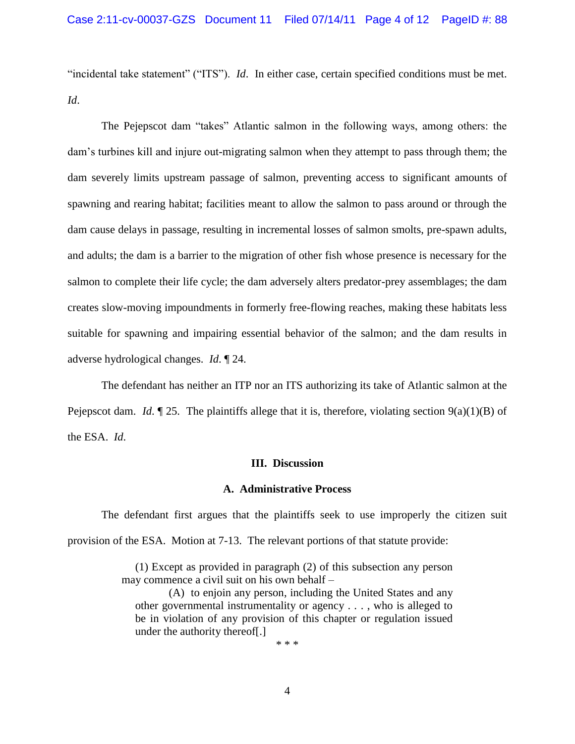"incidental take statement" ("ITS"). *Id*. In either case, certain specified conditions must be met. *Id*.

The Pejepscot dam "takes" Atlantic salmon in the following ways, among others: the dam's turbines kill and injure out-migrating salmon when they attempt to pass through them; the dam severely limits upstream passage of salmon, preventing access to significant amounts of spawning and rearing habitat; facilities meant to allow the salmon to pass around or through the dam cause delays in passage, resulting in incremental losses of salmon smolts, pre-spawn adults, and adults; the dam is a barrier to the migration of other fish whose presence is necessary for the salmon to complete their life cycle; the dam adversely alters predator-prey assemblages; the dam creates slow-moving impoundments in formerly free-flowing reaches, making these habitats less suitable for spawning and impairing essential behavior of the salmon; and the dam results in adverse hydrological changes. *Id*. ¶ 24.

The defendant has neither an ITP nor an ITS authorizing its take of Atlantic salmon at the Pejepscot dam. *Id*.  $\P$  25. The plaintiffs allege that it is, therefore, violating section  $9(a)(1)(B)$  of the ESA. *Id*.

### **III. Discussion**

#### **A. Administrative Process**

The defendant first argues that the plaintiffs seek to use improperly the citizen suit provision of the ESA. Motion at 7-13. The relevant portions of that statute provide:

> (1) Except as provided in paragraph (2) of this subsection any person may commence a civil suit on his own behalf –

(A) to enjoin any person, including the United States and any other governmental instrumentality or agency . . . , who is alleged to be in violation of any provision of this chapter or regulation issued under the authority thereof[.]

\* \* \*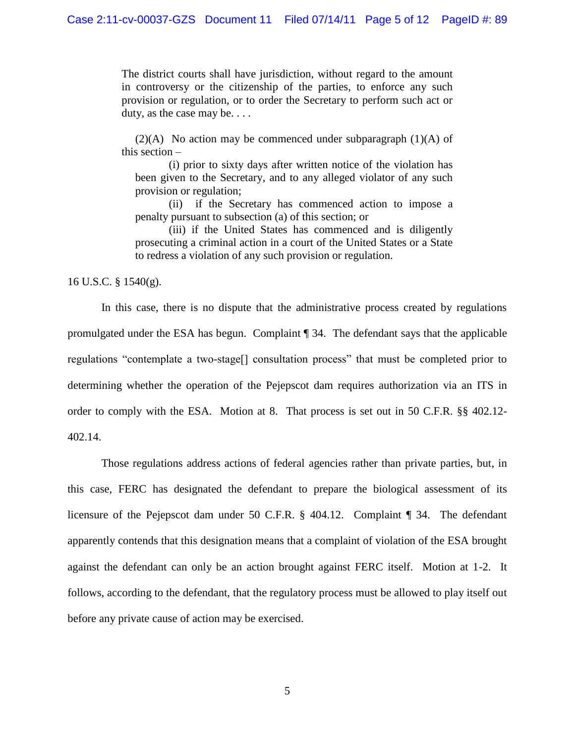The district courts shall have jurisdiction, without regard to the amount in controversy or the citizenship of the parties, to enforce any such provision or regulation, or to order the Secretary to perform such act or duty, as the case may be. . . .

 $(2)(A)$  No action may be commenced under subparagraph  $(1)(A)$  of this section –

(i) prior to sixty days after written notice of the violation has been given to the Secretary, and to any alleged violator of any such provision or regulation;

(ii) if the Secretary has commenced action to impose a penalty pursuant to subsection (a) of this section; or

(iii) if the United States has commenced and is diligently prosecuting a criminal action in a court of the United States or a State to redress a violation of any such provision or regulation.

16 U.S.C. § 1540(g).

In this case, there is no dispute that the administrative process created by regulations promulgated under the ESA has begun. Complaint ¶ 34. The defendant says that the applicable regulations "contemplate a two-stage[] consultation process" that must be completed prior to determining whether the operation of the Pejepscot dam requires authorization via an ITS in order to comply with the ESA. Motion at 8. That process is set out in 50 C.F.R. §§ 402.12- 402.14.

Those regulations address actions of federal agencies rather than private parties, but, in this case, FERC has designated the defendant to prepare the biological assessment of its licensure of the Pejepscot dam under 50 C.F.R. § 404.12. Complaint ¶ 34. The defendant apparently contends that this designation means that a complaint of violation of the ESA brought against the defendant can only be an action brought against FERC itself. Motion at 1-2. It follows, according to the defendant, that the regulatory process must be allowed to play itself out before any private cause of action may be exercised.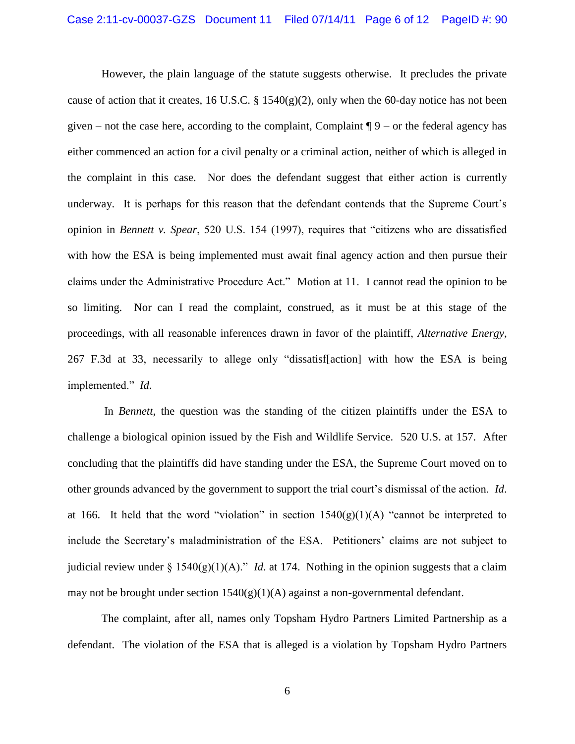However, the plain language of the statute suggests otherwise. It precludes the private cause of action that it creates, 16 U.S.C. § 1540(g)(2), only when the 60-day notice has not been given – not the case here, according to the complaint, Complaint  $\P 9$  – or the federal agency has either commenced an action for a civil penalty or a criminal action, neither of which is alleged in the complaint in this case. Nor does the defendant suggest that either action is currently underway. It is perhaps for this reason that the defendant contends that the Supreme Court's opinion in *Bennett v. Spear*, 520 U.S. 154 (1997), requires that "citizens who are dissatisfied with how the ESA is being implemented must await final agency action and then pursue their claims under the Administrative Procedure Act." Motion at 11. I cannot read the opinion to be so limiting. Nor can I read the complaint, construed, as it must be at this stage of the proceedings, with all reasonable inferences drawn in favor of the plaintiff, *Alternative Energy*, 267 F.3d at 33, necessarily to allege only "dissatisf[action] with how the ESA is being implemented." *Id*.

In *Bennett*, the question was the standing of the citizen plaintiffs under the ESA to challenge a biological opinion issued by the Fish and Wildlife Service. 520 U.S. at 157. After concluding that the plaintiffs did have standing under the ESA, the Supreme Court moved on to other grounds advanced by the government to support the trial court's dismissal of the action. *Id*. at 166. It held that the word "violation" in section  $1540(g)(1)(A)$  "cannot be interpreted to include the Secretary's maladministration of the ESA. Petitioners' claims are not subject to judicial review under § 1540(g)(1)(A)." *Id*. at 174. Nothing in the opinion suggests that a claim may not be brought under section  $1540(g)(1)(A)$  against a non-governmental defendant.

The complaint, after all, names only Topsham Hydro Partners Limited Partnership as a defendant. The violation of the ESA that is alleged is a violation by Topsham Hydro Partners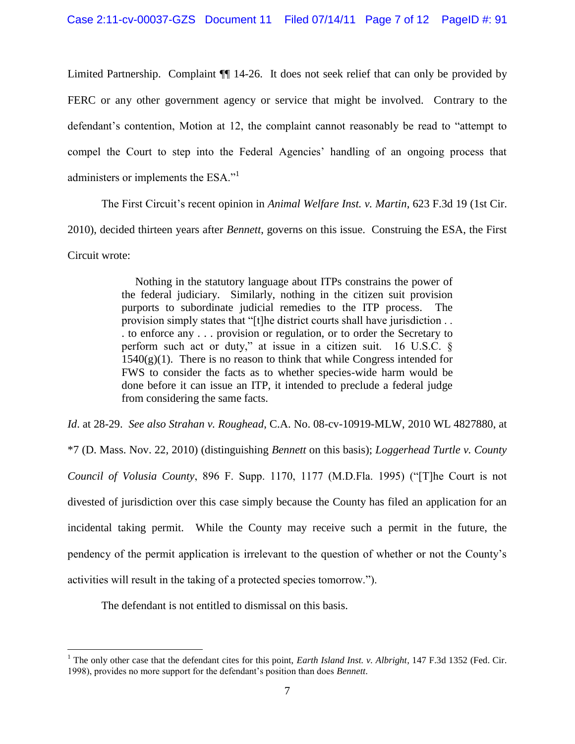Limited Partnership. Complaint ¶¶ 14-26. It does not seek relief that can only be provided by FERC or any other government agency or service that might be involved. Contrary to the defendant's contention, Motion at 12, the complaint cannot reasonably be read to "attempt to compel the Court to step into the Federal Agencies' handling of an ongoing process that administers or implements the ESA."<sup>1</sup>

The First Circuit's recent opinion in *Animal Welfare Inst. v. Martin*, 623 F.3d 19 (1st Cir. 2010), decided thirteen years after *Bennett*, governs on this issue. Construing the ESA, the First Circuit wrote:

> Nothing in the statutory language about ITPs constrains the power of the federal judiciary. Similarly, nothing in the citizen suit provision purports to subordinate judicial remedies to the ITP process. The provision simply states that "[t]he district courts shall have jurisdiction . . . to enforce any . . . provision or regulation, or to order the Secretary to perform such act or duty," at issue in a citizen suit. 16 U.S.C. §  $1540(g)(1)$ . There is no reason to think that while Congress intended for FWS to consider the facts as to whether species-wide harm would be done before it can issue an ITP, it intended to preclude a federal judge from considering the same facts.

*Id*. at 28-29. *See also Strahan v. Roughead*, C.A. No. 08-cv-10919-MLW, 2010 WL 4827880, at \*7 (D. Mass. Nov. 22, 2010) (distinguishing *Bennett* on this basis); *Loggerhead Turtle v. County Council of Volusia County*, 896 F. Supp. 1170, 1177 (M.D.Fla. 1995) ("[T]he Court is not divested of jurisdiction over this case simply because the County has filed an application for an incidental taking permit. While the County may receive such a permit in the future, the pendency of the permit application is irrelevant to the question of whether or not the County's activities will result in the taking of a protected species tomorrow.").

The defendant is not entitled to dismissal on this basis.

 $\overline{a}$ 

<sup>&</sup>lt;sup>1</sup> The only other case that the defendant cites for this point, *Earth Island Inst. v. Albright*, 147 F.3d 1352 (Fed. Cir. 1998), provides no more support for the defendant's position than does *Bennett*.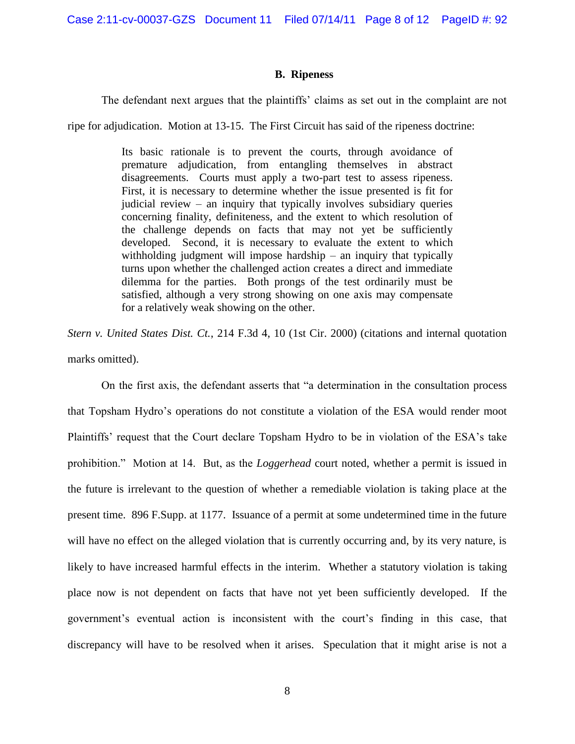Case 2:11-cv-00037-GZS Document 11 Filed 07/14/11 Page 8 of 12 PageID #: 92

### **B. Ripeness**

The defendant next argues that the plaintiffs' claims as set out in the complaint are not

ripe for adjudication. Motion at 13-15. The First Circuit has said of the ripeness doctrine:

Its basic rationale is to prevent the courts, through avoidance of premature adjudication, from entangling themselves in abstract disagreements. Courts must apply a two-part test to assess ripeness. First, it is necessary to determine whether the issue presented is fit for judicial review – an inquiry that typically involves subsidiary queries concerning finality, definiteness, and the extent to which resolution of the challenge depends on facts that may not yet be sufficiently developed. Second, it is necessary to evaluate the extent to which withholding judgment will impose hardship – an inquiry that typically turns upon whether the challenged action creates a direct and immediate dilemma for the parties. Both prongs of the test ordinarily must be satisfied, although a very strong showing on one axis may compensate for a relatively weak showing on the other.

*Stern v. United States Dist. Ct.*, 214 F.3d 4, 10 (1st Cir. 2000) (citations and internal quotation marks omitted).

On the first axis, the defendant asserts that "a determination in the consultation process that Topsham Hydro's operations do not constitute a violation of the ESA would render moot Plaintiffs' request that the Court declare Topsham Hydro to be in violation of the ESA's take prohibition." Motion at 14. But, as the *Loggerhead* court noted, whether a permit is issued in the future is irrelevant to the question of whether a remediable violation is taking place at the present time. 896 F.Supp. at 1177. Issuance of a permit at some undetermined time in the future will have no effect on the alleged violation that is currently occurring and, by its very nature, is likely to have increased harmful effects in the interim. Whether a statutory violation is taking place now is not dependent on facts that have not yet been sufficiently developed. If the government's eventual action is inconsistent with the court's finding in this case, that discrepancy will have to be resolved when it arises. Speculation that it might arise is not a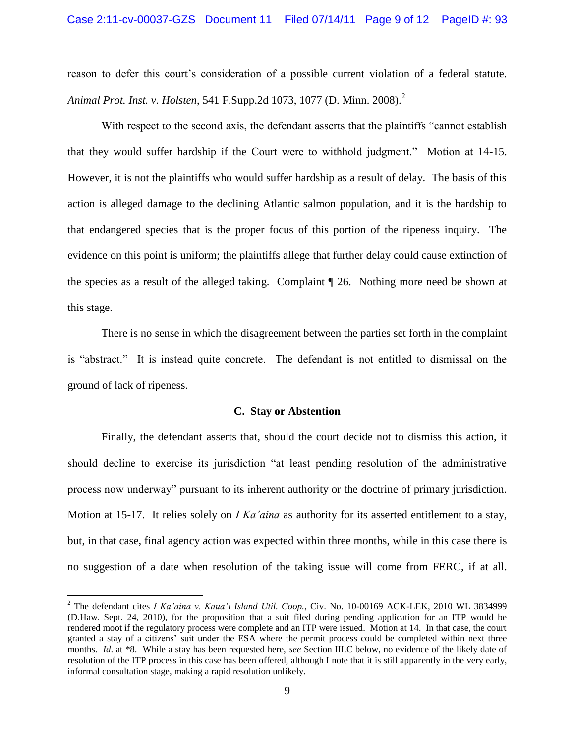reason to defer this court's consideration of a possible current violation of a federal statute. *Animal Prot. Inst. v. Holsten,* 541 F.Supp.2d 1073, 1077 (D. Minn. 2008).<sup>2</sup>

With respect to the second axis, the defendant asserts that the plaintiffs "cannot establish that they would suffer hardship if the Court were to withhold judgment." Motion at 14-15. However, it is not the plaintiffs who would suffer hardship as a result of delay. The basis of this action is alleged damage to the declining Atlantic salmon population, and it is the hardship to that endangered species that is the proper focus of this portion of the ripeness inquiry. The evidence on this point is uniform; the plaintiffs allege that further delay could cause extinction of the species as a result of the alleged taking. Complaint ¶ 26. Nothing more need be shown at this stage.

There is no sense in which the disagreement between the parties set forth in the complaint is "abstract." It is instead quite concrete. The defendant is not entitled to dismissal on the ground of lack of ripeness.

#### **C. Stay or Abstention**

Finally, the defendant asserts that, should the court decide not to dismiss this action, it should decline to exercise its jurisdiction "at least pending resolution of the administrative process now underway" pursuant to its inherent authority or the doctrine of primary jurisdiction. Motion at 15-17. It relies solely on *I Ka'aina* as authority for its asserted entitlement to a stay, but, in that case, final agency action was expected within three months, while in this case there is no suggestion of a date when resolution of the taking issue will come from FERC, if at all.

 $\overline{a}$ 

<sup>2</sup> The defendant cites *I Ka'aina v. Kaua'i Island Util. Coop.*, Civ. No. 10-00169 ACK-LEK, 2010 WL 3834999 (D.Haw. Sept. 24, 2010), for the proposition that a suit filed during pending application for an ITP would be rendered moot if the regulatory process were complete and an ITP were issued. Motion at 14. In that case, the court granted a stay of a citizens' suit under the ESA where the permit process could be completed within next three months. *Id.* at \*8. While a stay has been requested here, *see* Section III.C below, no evidence of the likely date of resolution of the ITP process in this case has been offered, although I note that it is still apparently in the very early, informal consultation stage, making a rapid resolution unlikely.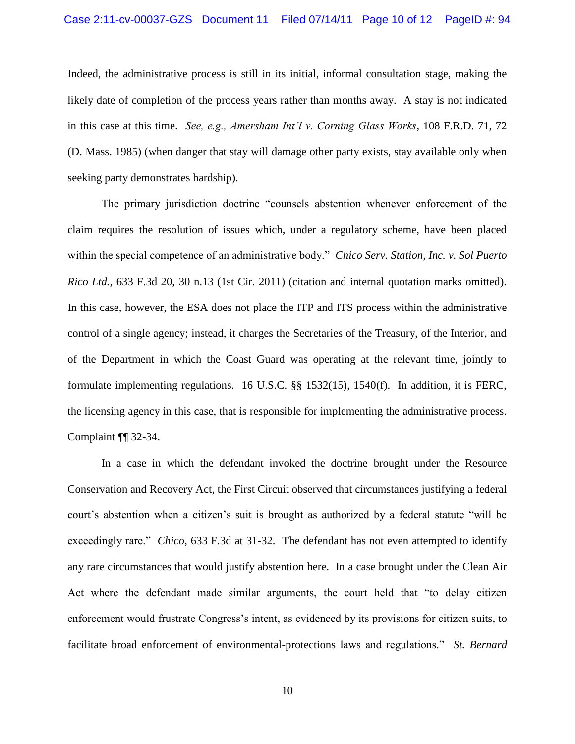Indeed, the administrative process is still in its initial, informal consultation stage, making the likely date of completion of the process years rather than months away. A stay is not indicated in this case at this time. *See, e.g., Amersham Int'l v. Corning Glass Works*, 108 F.R.D. 71, 72 (D. Mass. 1985) (when danger that stay will damage other party exists, stay available only when seeking party demonstrates hardship).

The primary jurisdiction doctrine "counsels abstention whenever enforcement of the claim requires the resolution of issues which, under a regulatory scheme, have been placed within the special competence of an administrative body." *Chico Serv. Station, Inc. v. Sol Puerto Rico Ltd.*, 633 F.3d 20, 30 n.13 (1st Cir. 2011) (citation and internal quotation marks omitted). In this case, however, the ESA does not place the ITP and ITS process within the administrative control of a single agency; instead, it charges the Secretaries of the Treasury, of the Interior, and of the Department in which the Coast Guard was operating at the relevant time, jointly to formulate implementing regulations. 16 U.S.C. §§ 1532(15), 1540(f). In addition, it is FERC, the licensing agency in this case, that is responsible for implementing the administrative process. Complaint ¶¶ 32-34.

In a case in which the defendant invoked the doctrine brought under the Resource Conservation and Recovery Act, the First Circuit observed that circumstances justifying a federal court's abstention when a citizen's suit is brought as authorized by a federal statute "will be exceedingly rare." *Chico*, 633 F.3d at 31-32. The defendant has not even attempted to identify any rare circumstances that would justify abstention here. In a case brought under the Clean Air Act where the defendant made similar arguments, the court held that "to delay citizen enforcement would frustrate Congress's intent, as evidenced by its provisions for citizen suits, to facilitate broad enforcement of environmental-protections laws and regulations." *St. Bernard*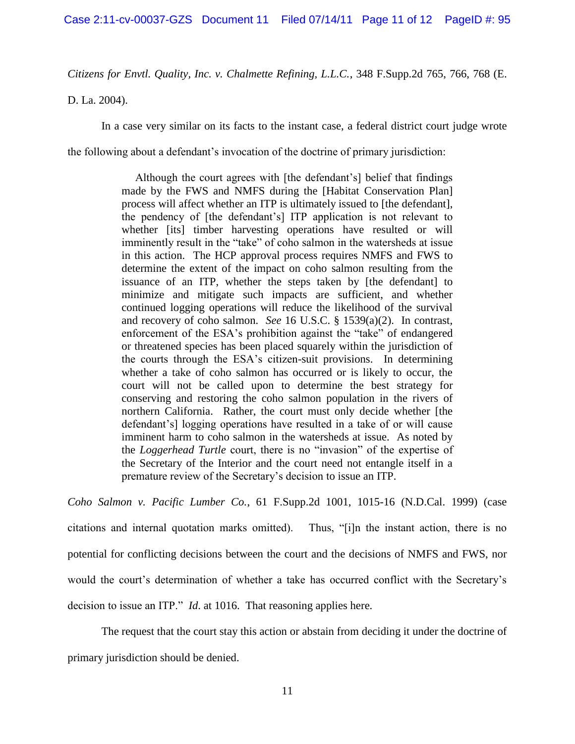*Citizens for Envtl. Quality, Inc. v. Chalmette Refining, L.L.C.*, 348 F.Supp.2d 765, 766, 768 (E.

D. La. 2004).

In a case very similar on its facts to the instant case, a federal district court judge wrote

the following about a defendant's invocation of the doctrine of primary jurisdiction:

Although the court agrees with [the defendant's] belief that findings made by the FWS and NMFS during the [Habitat Conservation Plan] process will affect whether an ITP is ultimately issued to [the defendant], the pendency of [the defendant's] ITP application is not relevant to whether [its] timber harvesting operations have resulted or will imminently result in the "take" of coho salmon in the watersheds at issue in this action. The HCP approval process requires NMFS and FWS to determine the extent of the impact on coho salmon resulting from the issuance of an ITP, whether the steps taken by [the defendant] to minimize and mitigate such impacts are sufficient, and whether continued logging operations will reduce the likelihood of the survival and recovery of coho salmon. *See* 16 U.S.C. § 1539(a)(2). In contrast, enforcement of the ESA's prohibition against the "take" of endangered or threatened species has been placed squarely within the jurisdiction of the courts through the ESA's citizen-suit provisions. In determining whether a take of coho salmon has occurred or is likely to occur, the court will not be called upon to determine the best strategy for conserving and restoring the coho salmon population in the rivers of northern California. Rather, the court must only decide whether [the defendant's] logging operations have resulted in a take of or will cause imminent harm to coho salmon in the watersheds at issue. As noted by the *Loggerhead Turtle* court, there is no "invasion" of the expertise of the Secretary of the Interior and the court need not entangle itself in a premature review of the Secretary's decision to issue an ITP.

*Coho Salmon v. Pacific Lumber Co.*, 61 F.Supp.2d 1001, 1015-16 (N.D.Cal. 1999) (case citations and internal quotation marks omitted). Thus, "[i]n the instant action, there is no potential for conflicting decisions between the court and the decisions of NMFS and FWS, nor would the court's determination of whether a take has occurred conflict with the Secretary's decision to issue an ITP." *Id*. at 1016. That reasoning applies here.

The request that the court stay this action or abstain from deciding it under the doctrine of primary jurisdiction should be denied.